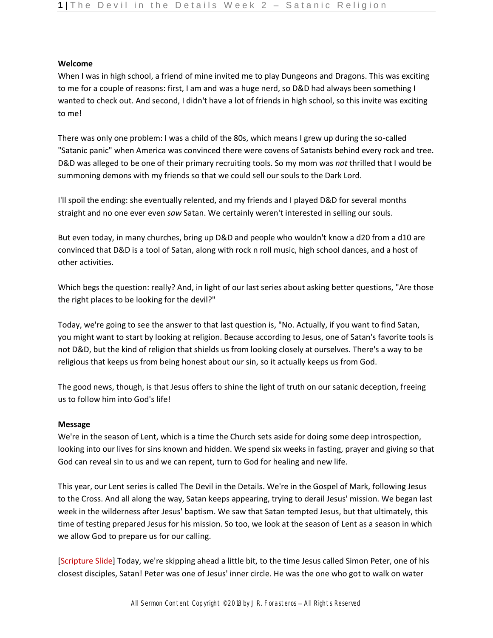## **Welcome**

When I was in high school, a friend of mine invited me to play Dungeons and Dragons. This was exciting to me for a couple of reasons: first, I am and was a huge nerd, so D&D had always been something I wanted to check out. And second, I didn't have a lot of friends in high school, so this invite was exciting to me!

There was only one problem: I was a child of the 80s, which means I grew up during the so-called "Satanic panic" when America was convinced there were covens of Satanists behind every rock and tree. D&D was alleged to be one of their primary recruiting tools. So my mom was *not* thrilled that I would be summoning demons with my friends so that we could sell our souls to the Dark Lord.

I'll spoil the ending: she eventually relented, and my friends and I played D&D for several months straight and no one ever even *saw* Satan. We certainly weren't interested in selling our souls.

But even today, in many churches, bring up D&D and people who wouldn't know a d20 from a d10 are convinced that D&D is a tool of Satan, along with rock n roll music, high school dances, and a host of other activities.

Which begs the question: really? And, in light of our last series about asking better questions, "Are those the right places to be looking for the devil?"

Today, we're going to see the answer to that last question is, "No. Actually, if you want to find Satan, you might want to start by looking at religion. Because according to Jesus, one of Satan's favorite tools is not D&D, but the kind of religion that shields us from looking closely at ourselves. There's a way to be religious that keeps us from being honest about our sin, so it actually keeps us from God.

The good news, though, is that Jesus offers to shine the light of truth on our satanic deception, freeing us to follow him into God's life!

## **Message**

We're in the season of Lent, which is a time the Church sets aside for doing some deep introspection, looking into our lives for sins known and hidden. We spend six weeks in fasting, prayer and giving so that God can reveal sin to us and we can repent, turn to God for healing and new life.

This year, our Lent series is called The Devil in the Details. We're in the Gospel of Mark, following Jesus to the Cross. And all along the way, Satan keeps appearing, trying to derail Jesus' mission. We began last week in the wilderness after Jesus' baptism. We saw that Satan tempted Jesus, but that ultimately, this time of testing prepared Jesus for his mission. So too, we look at the season of Lent as a season in which we allow God to prepare us for our calling.

[Scripture Slide] Today, we're skipping ahead a little bit, to the time Jesus called Simon Peter, one of his closest disciples, Satan! Peter was one of Jesus' inner circle. He was the one who got to walk on water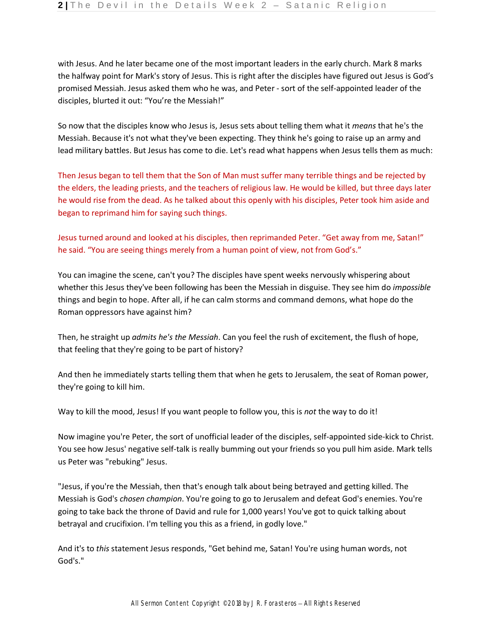with Jesus. And he later became one of the most important leaders in the early church. Mark 8 marks the halfway point for Mark's story of Jesus. This is right after the disciples have figured out Jesus is God's promised Messiah. Jesus asked them who he was, and Peter - sort of the self-appointed leader of the disciples, blurted it out: "You're the Messiah!"

So now that the disciples know who Jesus is, Jesus sets about telling them what it *means* that he's the Messiah. Because it's not what they've been expecting. They think he's going to raise up an army and lead military battles. But Jesus has come to die. Let's read what happens when Jesus tells them as much:

Then Jesus began to tell them that the Son of Man must suffer many terrible things and be rejected by the elders, the leading priests, and the teachers of religious law. He would be killed, but three days later he would rise from the dead. As he talked about this openly with his disciples, Peter took him aside and began to reprimand him for saying such things.

Jesus turned around and looked at his disciples, then reprimanded Peter. "Get away from me, Satan!" he said. "You are seeing things merely from a human point of view, not from God's."

You can imagine the scene, can't you? The disciples have spent weeks nervously whispering about whether this Jesus they've been following has been the Messiah in disguise. They see him do *impossible*  things and begin to hope. After all, if he can calm storms and command demons, what hope do the Roman oppressors have against him?

Then, he straight up *admits he's the Messiah*. Can you feel the rush of excitement, the flush of hope, that feeling that they're going to be part of history?

And then he immediately starts telling them that when he gets to Jerusalem, the seat of Roman power, they're going to kill him.

Way to kill the mood, Jesus! If you want people to follow you, this is *not* the way to do it!

Now imagine you're Peter, the sort of unofficial leader of the disciples, self-appointed side-kick to Christ. You see how Jesus' negative self-talk is really bumming out your friends so you pull him aside. Mark tells us Peter was "rebuking" Jesus.

"Jesus, if you're the Messiah, then that's enough talk about being betrayed and getting killed. The Messiah is God's *chosen champion*. You're going to go to Jerusalem and defeat God's enemies. You're going to take back the throne of David and rule for 1,000 years! You've got to quick talking about betrayal and crucifixion. I'm telling you this as a friend, in godly love."

And it's to *this* statement Jesus responds, "Get behind me, Satan! You're using human words, not God's."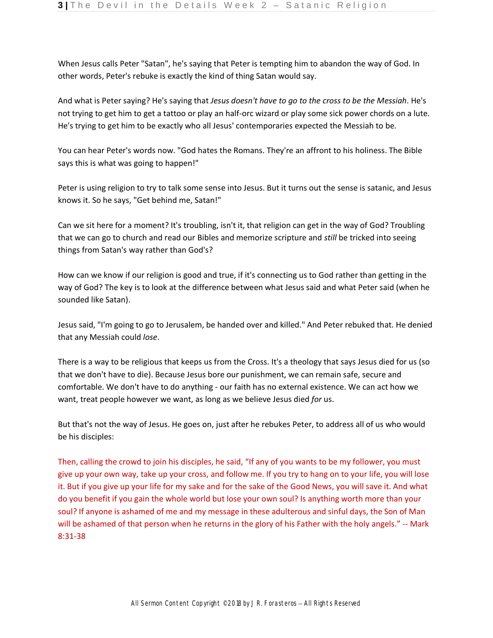When Jesus calls Peter "Satan", he's saying that Peter is tempting him to abandon the way of God. In other words, Peter's rebuke is exactly the kind of thing Satan would say.

And what is Peter saying? He's saying that *Jesus doesn't have to go to the cross to be the Messiah*. He's not trying to get him to get a tattoo or play an half-orc wizard or play some sick power chords on a lute. He's trying to get him to be exactly who all Jesus' contemporaries expected the Messiah to be.

You can hear Peter's words now. "God hates the Romans. They're an affront to his holiness. The Bible says this is what was going to happen!"

Peter is using religion to try to talk some sense into Jesus. But it turns out the sense is satanic, and Jesus knows it. So he says, "Get behind me, Satan!"

Can we sit here for a moment? It's troubling, isn't it, that religion can get in the way of God? Troubling that we can go to church and read our Bibles and memorize scripture and *still* be tricked into seeing things from Satan's way rather than God's?

How can we know if our religion is good and true, if it's connecting us to God rather than getting in the way of God? The key is to look at the difference between what Jesus said and what Peter said (when he sounded like Satan).

Jesus said, "I'm going to go to Jerusalem, be handed over and killed." And Peter rebuked that. He denied that any Messiah could *lose*.

There is a way to be religious that keeps us from the Cross. It's a theology that says Jesus died for us (so that we don't have to die). Because Jesus bore our punishment, we can remain safe, secure and comfortable. We don't have to do anything - our faith has no external existence. We can act how we want, treat people however we want, as long as we believe Jesus died *for* us.

But that's not the way of Jesus. He goes on, just after he rebukes Peter, to address all of us who would be his disciples:

Then, calling the crowd to join his disciples, he said, "If any of you wants to be my follower, you must give up your own way, take up your cross, and follow me. If you try to hang on to your life, you will lose it. But if you give up your life for my sake and for the sake of the Good News, you will save it. And what do you benefit if you gain the whole world but lose your own soul? Is anything worth more than your soul? If anyone is ashamed of me and my message in these adulterous and sinful days, the Son of Man will be ashamed of that person when he returns in the glory of his Father with the holy angels." -- Mark 8:31-38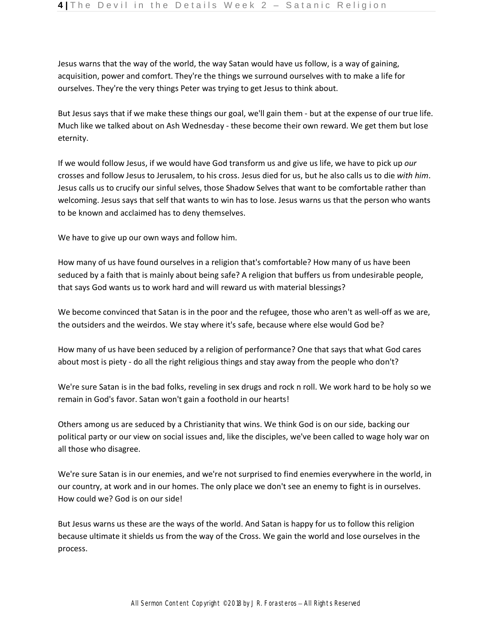Jesus warns that the way of the world, the way Satan would have us follow, is a way of gaining, acquisition, power and comfort. They're the things we surround ourselves with to make a life for ourselves. They're the very things Peter was trying to get Jesus to think about.

But Jesus says that if we make these things our goal, we'll gain them - but at the expense of our true life. Much like we talked about on Ash Wednesday - these become their own reward. We get them but lose eternity.

If we would follow Jesus, if we would have God transform us and give us life, we have to pick up *our*  crosses and follow Jesus to Jerusalem, to his cross. Jesus died for us, but he also calls us to die *with him*. Jesus calls us to crucify our sinful selves, those Shadow Selves that want to be comfortable rather than welcoming. Jesus says that self that wants to win has to lose. Jesus warns us that the person who wants to be known and acclaimed has to deny themselves.

We have to give up our own ways and follow him.

How many of us have found ourselves in a religion that's comfortable? How many of us have been seduced by a faith that is mainly about being safe? A religion that buffers us from undesirable people, that says God wants us to work hard and will reward us with material blessings?

We become convinced that Satan is in the poor and the refugee, those who aren't as well-off as we are, the outsiders and the weirdos. We stay where it's safe, because where else would God be?

How many of us have been seduced by a religion of performance? One that says that what God cares about most is piety - do all the right religious things and stay away from the people who don't?

We're sure Satan is in the bad folks, reveling in sex drugs and rock n roll. We work hard to be holy so we remain in God's favor. Satan won't gain a foothold in our hearts!

Others among us are seduced by a Christianity that wins. We think God is on our side, backing our political party or our view on social issues and, like the disciples, we've been called to wage holy war on all those who disagree.

We're sure Satan is in our enemies, and we're not surprised to find enemies everywhere in the world, in our country, at work and in our homes. The only place we don't see an enemy to fight is in ourselves. How could we? God is on our side!

But Jesus warns us these are the ways of the world. And Satan is happy for us to follow this religion because ultimate it shields us from the way of the Cross. We gain the world and lose ourselves in the process.